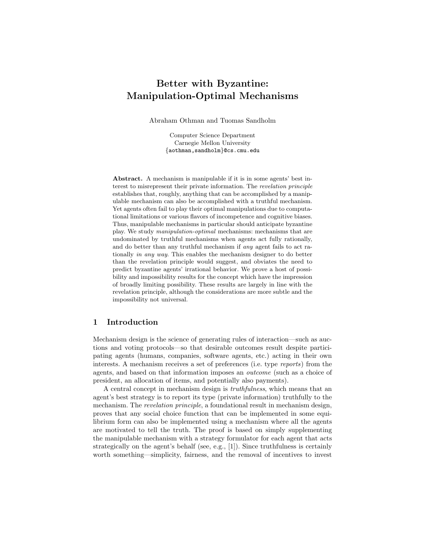# Better with Byzantine: Manipulation-Optimal Mechanisms

Abraham Othman and Tuomas Sandholm

Computer Science Department Carnegie Mellon University {aothman,sandholm}@cs.cmu.edu

Abstract. A mechanism is manipulable if it is in some agents' best interest to misrepresent their private information. The revelation principle establishes that, roughly, anything that can be accomplished by a manipulable mechanism can also be accomplished with a truthful mechanism. Yet agents often fail to play their optimal manipulations due to computational limitations or various flavors of incompetence and cognitive biases. Thus, manipulable mechanisms in particular should anticipate byzantine play. We study manipulation-optimal mechanisms: mechanisms that are undominated by truthful mechanisms when agents act fully rationally, and do better than any truthful mechanism if any agent fails to act rationally in any way. This enables the mechanism designer to do better than the revelation principle would suggest, and obviates the need to predict byzantine agents' irrational behavior. We prove a host of possibility and impossibility results for the concept which have the impression of broadly limiting possibility. These results are largely in line with the revelation principle, although the considerations are more subtle and the impossibility not universal.

# 1 Introduction

Mechanism design is the science of generating rules of interaction—such as auctions and voting protocols—so that desirable outcomes result despite participating agents (humans, companies, software agents, etc.) acting in their own interests. A mechanism receives a set of preferences (i.e. type reports) from the agents, and based on that information imposes an outcome (such as a choice of president, an allocation of items, and potentially also payments).

A central concept in mechanism design is truthfulness, which means that an agent's best strategy is to report its type (private information) truthfully to the mechanism. The *revelation principle*, a foundational result in mechanism design, proves that any social choice function that can be implemented in some equilibrium form can also be implemented using a mechanism where all the agents are motivated to tell the truth. The proof is based on simply supplementing the manipulable mechanism with a strategy formulator for each agent that acts strategically on the agent's behalf (see, e.g., [1]). Since truthfulness is certainly worth something—simplicity, fairness, and the removal of incentives to invest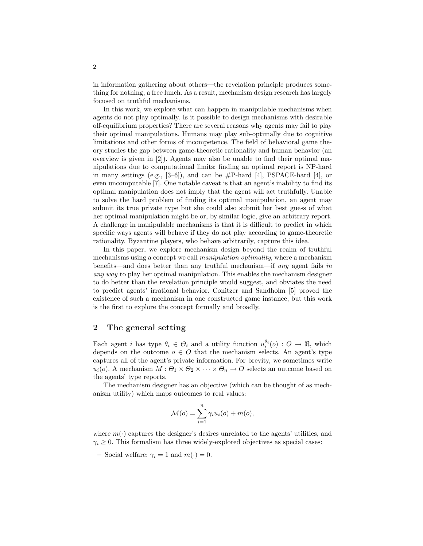in information gathering about others—the revelation principle produces something for nothing, a free lunch. As a result, mechanism design research has largely focused on truthful mechanisms.

In this work, we explore what can happen in manipulable mechanisms when agents do not play optimally. Is it possible to design mechanisms with desirable off-equilibrium properties? There are several reasons why agents may fail to play their optimal manipulations. Humans may play sub-optimally due to cognitive limitations and other forms of incompetence. The field of behavioral game theory studies the gap between game-theoretic rationality and human behavior (an overview is given in [2]). Agents may also be unable to find their optimal manipulations due to computational limits: finding an optimal report is NP-hard in many settings (e.g.,  $[3-6]$ ), and can be #P-hard [4], PSPACE-hard [4], or even uncomputable [7]. One notable caveat is that an agent's inability to find its optimal manipulation does not imply that the agent will act truthfully. Unable to solve the hard problem of finding its optimal manipulation, an agent may submit its true private type but she could also submit her best guess of what her optimal manipulation might be or, by similar logic, give an arbitrary report. A challenge in manipulable mechanisms is that it is difficult to predict in which specific ways agents will behave if they do not play according to game-theoretic rationality. Byzantine players, who behave arbitrarily, capture this idea.

In this paper, we explore mechanism design beyond the realm of truthful mechanisms using a concept we call manipulation optimality, where a mechanism benefits—and does better than any truthful mechanism—if any agent fails in any way to play her optimal manipulation. This enables the mechanism designer to do better than the revelation principle would suggest, and obviates the need to predict agents' irrational behavior. Conitzer and Sandholm [5] proved the existence of such a mechanism in one constructed game instance, but this work is the first to explore the concept formally and broadly.

# 2 The general setting

Each agent i has type  $\theta_i \in \Theta_i$  and a utility function  $u_i^{\theta_i}(o) : O \to \Re$ , which depends on the outcome  $o \in O$  that the mechanism selects. An agent's type captures all of the agent's private information. For brevity, we sometimes write  $u_i(o)$ . A mechanism  $M : \Theta_1 \times \Theta_2 \times \cdots \times \Theta_n \to O$  selects an outcome based on the agents' type reports.

The mechanism designer has an objective (which can be thought of as mechanism utility) which maps outcomes to real values:

$$
\mathcal{M}(o) = \sum_{i=1}^{n} \gamma_i u_i(o) + m(o),
$$

where  $m(\cdot)$  captures the designer's desires unrelated to the agents' utilities, and  $\gamma_i \geq 0$ . This formalism has three widely-explored objectives as special cases:

<sup>–</sup> Social welfare:  $\gamma_i = 1$  and  $m(\cdot) = 0$ .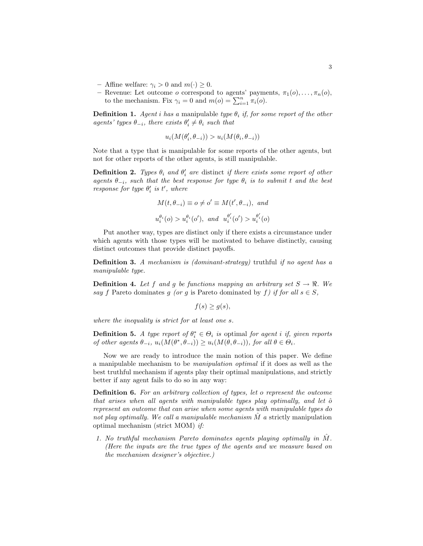- Affine welfare:  $\gamma_i > 0$  and  $m(\cdot) \geq 0$ .
- Revenue: Let outcome o correspond to agents' payments,  $\pi_1(o), \ldots, \pi_n(o)$ , to the mechanism. Fix  $\gamma_i = 0$  and  $m(o) = \sum_{i=1}^n \pi_i(o)$ .

**Definition 1.** Agent i has a manipulable type  $\theta_i$  if, for some report of the other agents' types  $\theta_{-i}$ , there exists  $\theta'_i \neq \theta_i$  such that

$$
u_i(M(\theta'_i, \theta_{-i})) > u_i(M(\theta_i, \theta_{-i}))
$$

Note that a type that is manipulable for some reports of the other agents, but not for other reports of the other agents, is still manipulable.

**Definition 2.** Types  $\theta_i$  and  $\theta'_i$  are distinct if there exists some report of other agents  $\theta_{-i}$ , such that the best response for type  $\theta_i$  is to submit t and the best response for type  $\theta_i'$  is  $t'$ , where

$$
M(t, \theta_{-i}) \equiv o \neq o' \equiv M(t', \theta_{-i}), \text{ and}
$$
  

$$
u_i^{\theta_i}(o) > u_i^{\theta_i}(o'), \text{ and } u_i^{\theta'_i}(o') > u_i^{\theta'_i}(o)
$$

Put another way, types are distinct only if there exists a circumstance under which agents with those types will be motivated to behave distinctly, causing distinct outcomes that provide distinct payoffs.

Definition 3. A mechanism is (dominant-strategy) truthful if no agent has a manipulable type.

**Definition 4.** Let f and g be functions mapping an arbitrary set  $S \to \mathbb{R}$ . We say f Pareto dominates g (or g is Pareto dominated by f) if for all  $s \in S$ ,

$$
f(s) \ge g(s),
$$

where the inequality is strict for at least one s.

**Definition 5.** A type report of  $\theta_i^* \in \Theta_i$  is optimal for agent i if, given reports of other agents  $\theta_{-i}$ ,  $u_i(M(\theta^*, \theta_{-i})) \geq u_i(M(\theta, \theta_{-i}))$ , for all  $\theta \in \Theta_i$ .

Now we are ready to introduce the main notion of this paper. We define a manipulable mechanism to be manipulation optimal if it does as well as the best truthful mechanism if agents play their optimal manipulations, and strictly better if any agent fails to do so in any way:

Definition 6. For an arbitrary collection of types, let o represent the outcome that arises when all agents with manipulable types play optimally, and let  $\hat{o}$ represent an outcome that can arise when some agents with manipulable types do not play optimally. We call a manipulable mechanism  $\hat{M}$  a strictly manipulation optimal mechanism (strict MOM) if:

1. No truthful mechanism Pareto dominates agents playing optimally in  $M$ . (Here the inputs are the true types of the agents and we measure based on the mechanism designer's objective.)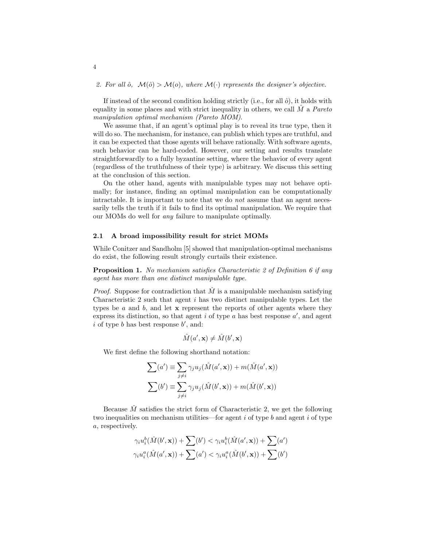## 2. For all  $\hat{o}$ ,  $\mathcal{M}(\hat{o}) > \mathcal{M}(o)$ , where  $\mathcal{M}(\cdot)$  represents the designer's objective.

4

If instead of the second condition holding strictly (i.e., for all  $\hat{o}$ ), it holds with equality in some places and with strict inequality in others, we call  $\hat{M}$  a *Pareto* manipulation optimal mechanism (Pareto MOM).

We assume that, if an agent's optimal play is to reveal its true type, then it will do so. The mechanism, for instance, can publish which types are truthful, and it can be expected that those agents will behave rationally. With software agents, such behavior can be hard-coded. However, our setting and results translate straightforwardly to a fully byzantine setting, where the behavior of every agent (regardless of the truthfulness of their type) is arbitrary. We discuss this setting at the conclusion of this section.

On the other hand, agents with manipulable types may not behave optimally; for instance, finding an optimal manipulation can be computationally intractable. It is important to note that we do not assume that an agent necessarily tells the truth if it fails to find its optimal manipulation. We require that our MOMs do well for any failure to manipulate optimally.

#### 2.1 A broad impossibility result for strict MOMs

While Conitzer and Sandholm [5] showed that manipulation-optimal mechanisms do exist, the following result strongly curtails their existence.

**Proposition 1.** No mechanism satisfies Characteristic 2 of Definition 6 if any agent has more than one distinct manipulable type.

*Proof.* Suppose for contradiction that  $\hat{M}$  is a manipulable mechanism satisfying Characteristic 2 such that agent i has two distinct manipulable types. Let the types be a and b, and let  $x$  represent the reports of other agents where they express its distinction, so that agent  $i$  of type  $a$  has best response  $a'$ , and agent  $i$  of type  $b$  has best response  $b'$ , and:

$$
\hat{M}(a',\mathbf{x}) \neq \hat{M}(b',\mathbf{x})
$$

We first define the following shorthand notation:

$$
\sum(a') \equiv \sum_{j \neq i} \gamma_j u_j(\hat{M}(a', \mathbf{x})) + m(\hat{M}(a', \mathbf{x}))
$$

$$
\sum(b') \equiv \sum_{j \neq i} \gamma_j u_j(\hat{M}(b', \mathbf{x})) + m(\hat{M}(b', \mathbf{x}))
$$

Because  $\hat{M}$  satisfies the strict form of Characteristic 2, we get the following two inequalities on mechanism utilities—for agent  $i$  of type  $b$  and agent  $i$  of type a, respectively.

$$
\gamma_i u_i^b(\hat{M}(b', \mathbf{x})) + \sum(b') < \gamma_i u_i^b(\hat{M}(a', \mathbf{x})) + \sum(a')
$$
\n
$$
\gamma_i u_i^a(\hat{M}(a', \mathbf{x})) + \sum(a') < \gamma_i u_i^a(\hat{M}(b', \mathbf{x})) + \sum(b')
$$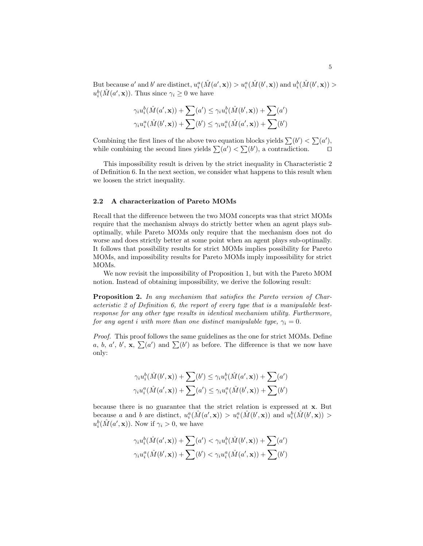But because  $a'$  and  $b'$  are distinct,  $u_i^a(\hat{M}(a',\mathbf{x})) > u_i^a(\hat{M}(b',\mathbf{x}))$  and  $u_i^b(\hat{M}(b',\mathbf{x})) >$  $u_i^b(\hat{M}(a',\mathbf{x}))$ . Thus since  $\gamma_i \geq 0$  we have

$$
\gamma_i u_i^b(\hat{M}(a', \mathbf{x})) + \sum(a') \leq \gamma_i u_i^b(\hat{M}(b', \mathbf{x})) + \sum(a')
$$
  

$$
\gamma_i u_i^a(\hat{M}(b', \mathbf{x})) + \sum(b') \leq \gamma_i u_i^a(\hat{M}(a', \mathbf{x})) + \sum(b')
$$

Combining the first lines of the above two equation blocks yields  $\sum (b') < \sum (a')$ , while combining the second lines yields  $\sum(a') < \sum(b')$ , a contradiction.

This impossibility result is driven by the strict inequality in Characteristic 2 of Definition 6. In the next section, we consider what happens to this result when we loosen the strict inequality.

#### 2.2 A characterization of Pareto MOMs

Recall that the difference between the two MOM concepts was that strict MOMs require that the mechanism always do strictly better when an agent plays suboptimally, while Pareto MOMs only require that the mechanism does not do worse and does strictly better at some point when an agent plays sub-optimally. It follows that possibility results for strict MOMs implies possibility for Pareto MOMs, and impossibility results for Pareto MOMs imply impossibility for strict MOMs.

We now revisit the impossibility of Proposition 1, but with the Pareto MOM notion. Instead of obtaining impossibility, we derive the following result:

Proposition 2. In any mechanism that satisfies the Pareto version of Characteristic 2 of Definition 6, the report of every type that is a manipulable bestresponse for any other type results in identical mechanism utility. Furthermore, for any agent i with more than one distinct manipulable type,  $\gamma_i = 0$ .

Proof. This proof follows the same guidelines as the one for strict MOMs. Define a, b, a', b', x,  $\sum(a')$  and  $\sum(b')$  as before. The difference is that we now have only:

$$
\gamma_i u_i^b(\hat{M}(b', \mathbf{x})) + \sum(b') \leq \gamma_i u_i^b(\hat{M}(a', \mathbf{x})) + \sum(a')
$$
  

$$
\gamma_i u_i^a(\hat{M}(a', \mathbf{x})) + \sum(a') \leq \gamma_i u_i^a(\hat{M}(b', \mathbf{x})) + \sum(b')
$$

because there is no guarantee that the strict relation is expressed at x. But because a and b are distinct,  $u_i^a(\hat{M}(a',\mathbf{x})) > u_i^a(\hat{M}(b',\mathbf{x}))$  and  $u_i^b(\hat{M}(b',\mathbf{x})) >$  $u_i^b(\hat{M}(a',\mathbf{x}))$ . Now if  $\gamma_i > 0$ , we have

$$
\gamma_i u_i^b(\hat{M}(a', \mathbf{x})) + \sum(a') < \gamma_i u_i^b(\hat{M}(b', \mathbf{x})) + \sum(a')
$$
  

$$
\gamma_i u_i^a(\hat{M}(b', \mathbf{x})) + \sum(b') < \gamma_i u_i^a(\hat{M}(a', \mathbf{x})) + \sum(b')
$$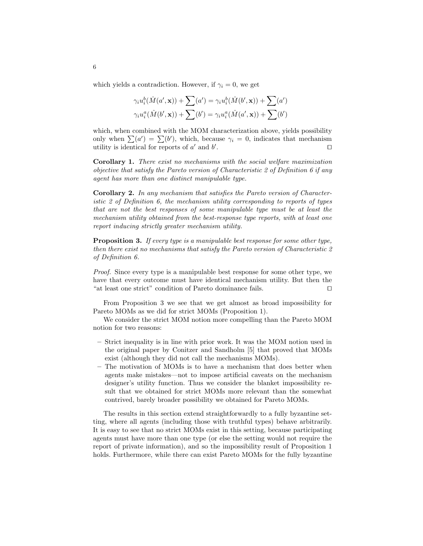which yields a contradiction. However, if  $\gamma_i = 0$ , we get

$$
\gamma_i u_i^b(\hat{M}(a', \mathbf{x})) + \sum(a') = \gamma_i u_i^b(\hat{M}(b', \mathbf{x})) + \sum(a')
$$
  

$$
\gamma_i u_i^a(\hat{M}(b', \mathbf{x})) + \sum(b') = \gamma_i u_i^a(\hat{M}(a', \mathbf{x})) + \sum(b')
$$

which, when combined with the MOM characterization above, yields possibility only when  $\sum(a') = \sum(b')$ , which, because  $\gamma_i = 0$ , indicates that mechanism utility is identical for reports of  $a'$  and  $b'$ . The contract of the contract of the contract of the contract of the contract of the contract of the contract of the contract of the contract of the contract of the contract of the contract of the contract of the contract

Corollary 1. There exist no mechanisms with the social welfare maximization objective that satisfy the Pareto version of Characteristic 2 of Definition 6 if any agent has more than one distinct manipulable type.

Corollary 2. In any mechanism that satisfies the Pareto version of Characteristic 2 of Definition 6, the mechanism utility corresponding to reports of types that are not the best responses of some manipulable type must be at least the mechanism utility obtained from the best-response type reports, with at least one report inducing strictly greater mechanism utility.

Proposition 3. If every type is a manipulable best response for some other type, then there exist no mechanisms that satisfy the Pareto version of Characteristic 2 of Definition 6.

Proof. Since every type is a manipulable best response for some other type, we have that every outcome must have identical mechanism utility. But then the "at least one strict" condition of Pareto dominance fails.  $\Box$ 

From Proposition 3 we see that we get almost as broad impossibility for Pareto MOMs as we did for strict MOMs (Proposition 1).

We consider the strict MOM notion more compelling than the Pareto MOM notion for two reasons:

- Strict inequality is in line with prior work. It was the MOM notion used in the original paper by Conitzer and Sandholm [5] that proved that MOMs exist (although they did not call the mechanisms MOMs).
- The motivation of MOMs is to have a mechanism that does better when agents make mistakes—not to impose artificial caveats on the mechanism designer's utility function. Thus we consider the blanket impossibility result that we obtained for strict MOMs more relevant than the somewhat contrived, barely broader possibility we obtained for Pareto MOMs.

The results in this section extend straightforwardly to a fully byzantine setting, where all agents (including those with truthful types) behave arbitrarily. It is easy to see that no strict MOMs exist in this setting, because participating agents must have more than one type (or else the setting would not require the report of private information), and so the impossibility result of Proposition 1 holds. Furthermore, while there can exist Pareto MOMs for the fully byzantine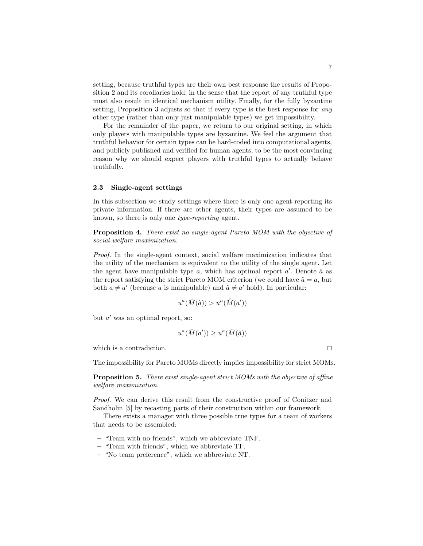setting, because truthful types are their own best response the results of Proposition 2 and its corollaries hold, in the sense that the report of any truthful type must also result in identical mechanism utility. Finally, for the fully byzantine setting, Proposition 3 adjusts so that if every type is the best response for *any* other type (rather than only just manipulable types) we get impossibility.

For the remainder of the paper, we return to our original setting, in which only players with manipulable types are byzantine. We feel the argument that truthful behavior for certain types can be hard-coded into computational agents, and publicly published and verified for human agents, to be the most convincing reason why we should expect players with truthful types to actually behave truthfully.

#### 2.3 Single-agent settings

In this subsection we study settings where there is only one agent reporting its private information. If there are other agents, their types are assumed to be known, so there is only one type-reporting agent.

Proposition 4. There exist no single-agent Pareto MOM with the objective of social welfare maximization.

Proof. In the single-agent context, social welfare maximization indicates that the utility of the mechanism is equivalent to the utility of the single agent. Let the agent have manipulable type  $a$ , which has optimal report  $a'$ . Denote  $\hat{a}$  as the report satisfying the strict Pareto MOM criterion (we could have  $\hat{a} = a$ , but both  $a \neq a'$  (because a is manipulable) and  $\hat{a} \neq a'$  hold). In particular:

$$
u^a(\hat{M}(\hat{a})) > u^a(\hat{M}(a'))
$$

but  $a'$  was an optimal report, so:

$$
u^{a}(\hat{M}(a')) \geq u^{a}(\hat{M}(\hat{a}))
$$

which is a contradiction.  $\Box$ 

The impossibility for Pareto MOMs directly implies impossibility for strict MOMs.

Proposition 5. There exist single-agent strict MOMs with the objective of affine welfare maximization.

Proof. We can derive this result from the constructive proof of Conitzer and Sandholm [5] by recasting parts of their construction within our framework.

There exists a manager with three possible true types for a team of workers that needs to be assembled:

- "Team with no friends", which we abbreviate TNF.
- "Team with friends", which we abbreviate TF.
- "No team preference", which we abbreviate NT.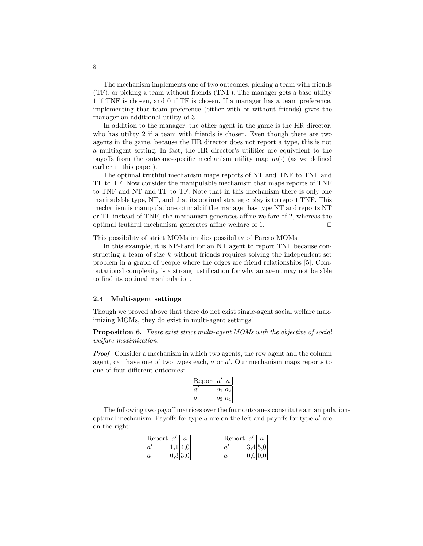The mechanism implements one of two outcomes: picking a team with friends (TF), or picking a team without friends (TNF). The manager gets a base utility 1 if TNF is chosen, and 0 if TF is chosen. If a manager has a team preference, implementing that team preference (either with or without friends) gives the manager an additional utility of 3.

In addition to the manager, the other agent in the game is the HR director, who has utility 2 if a team with friends is chosen. Even though there are two agents in the game, because the HR director does not report a type, this is not a multiagent setting. In fact, the HR director's utilities are equivalent to the payoffs from the outcome-specific mechanism utility map  $m(\cdot)$  (as we defined earlier in this paper).

The optimal truthful mechanism maps reports of NT and TNF to TNF and TF to TF. Now consider the manipulable mechanism that maps reports of TNF to TNF and NT and TF to TF. Note that in this mechanism there is only one manipulable type, NT, and that its optimal strategic play is to report TNF. This mechanism is manipulation-optimal: if the manager has type NT and reports NT or TF instead of TNF, the mechanism generates affine welfare of 2, whereas the optimal truthful mechanism generates affine welfare of 1.  $\Box$ 

This possibility of strict MOMs implies possibility of Pareto MOMs.

In this example, it is NP-hard for an NT agent to report TNF because constructing a team of size  $k$  without friends requires solving the independent set problem in a graph of people where the edges are friend relationships [5]. Computational complexity is a strong justification for why an agent may not be able to find its optimal manipulation.

#### 2.4 Multi-agent settings

Though we proved above that there do not exist single-agent social welfare maximizing MOMs, they do exist in multi-agent settings!

**Proposition 6.** There exist strict multi-agent MOMs with the objective of social welfare maximization.

Proof. Consider a mechanism in which two agents, the row agent and the column agent, can have one of two types each,  $a$  or  $a'$ . Our mechanism maps reports to one of four different outcomes:

| $\text{Report} a'$ |                | $\alpha$       |
|--------------------|----------------|----------------|
| A.                 | O <sub>1</sub> | O <sub>2</sub> |
| A.                 | $0_3$ $0_4$    |                |

The following two payoff matrices over the four outcomes constitute a manipulationoptimal mechanism. Payoffs for type  $a$  are on the left and payoffs for type  $a'$  are on the right:

| Report $a'$ |         | $ $ Report $ a'$ |                              |
|-------------|---------|------------------|------------------------------|
|             |         |                  | 3,4 5,0                      |
| Ιa          | 0,3 3,0 |                  | $\left 0,6\right 0,0\right $ |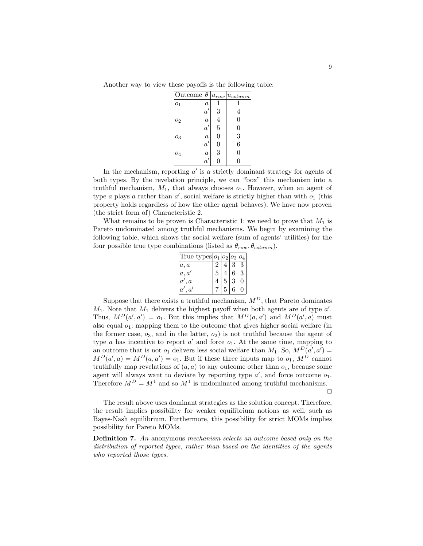Another way to view these payoffs is the following table:

| $\overline{\text{Outcome}}\vert \, \theta \, \vert u_{row} \vert u_{column}$ |                  |                |          |
|------------------------------------------------------------------------------|------------------|----------------|----------|
| $\overline{O_1}$                                                             | $\boldsymbol{a}$ | 1              |          |
|                                                                              | $a^{\prime}$     | 3              | 4        |
| O <sub>2</sub>                                                               | $\alpha$         | $\overline{4}$ | $\theta$ |
|                                                                              | $a^{\prime}$     | $\overline{5}$ | 0        |
| 03                                                                           | $\alpha$         | 0              | 3        |
|                                                                              | $a^{\prime}$     | 0              | 6        |
| ${\cal O}_4$                                                                 | $\alpha$         | 3              | 0        |
|                                                                              | $\overline{a}$   | 0              | $\Omega$ |

In the mechanism, reporting  $a'$  is a strictly dominant strategy for agents of both types. By the revelation principle, we can "box" this mechanism into a truthful mechanism,  $M_1$ , that always chooses  $o_1$ . However, when an agent of type a plays a rather than  $a'$ , social welfare is strictly higher than with  $o_1$  (this property holds regardless of how the other agent behaves). We have now proven (the strict form of) Characteristic 2.

What remains to be proven is Characteristic 1: we need to prove that  $M_1$  is Pareto undominated among truthful mechanisms. We begin by examining the following table, which shows the social welfare (sum of agents' utilities) for the four possible true type combinations (listed as  $\theta_{row}, \theta_{column}$ ).

| True types $ o_1 o_2 o_3 o_4$ |   |   |                 |   |
|-------------------------------|---|---|-----------------|---|
| a, a                          |   |   | 3               | 3 |
| a, a'                         | 5 |   | 6               | 3 |
| a', a                         |   | 5 | 3               |   |
| a', a'                        |   | 5 | $6\phantom{.}6$ |   |

Suppose that there exists a truthful mechanism,  $M<sup>D</sup>$ , that Pareto dominates  $M_1$ . Note that  $M_1$  delivers the highest payoff when both agents are of type  $a'$ . Thus,  $M^D(a', a') = o_1$ . But this implies that  $M^D(a, a')$  and  $M^D(a', a)$  must also equal  $o_1$ : mapping them to the outcome that gives higher social welfare (in the former case,  $o_3$ , and in the latter,  $o_2$ ) is not truthful because the agent of type  $a$  has incentive to report  $a'$  and force  $o_1$ . At the same time, mapping to an outcome that is not  $o_1$  delivers less social welfare than  $M_1$ . So,  $M^D(a', a') =$  $M^D(a', a) = M^D(a, a') = o_1$ . But if these three inputs map to  $o_1$ ,  $M^D$  cannot truthfully map revelations of  $(a, a)$  to any outcome other than  $o<sub>1</sub>$ , because some agent will always want to deviate by reporting type  $a'$ , and force outcome  $o_1$ . Therefore  $M^D = M^1$  and so  $M^1$  is undominated among truthful mechanisms.

 $\Box$ 

The result above uses dominant strategies as the solution concept. Therefore, the result implies possibility for weaker equilibrium notions as well, such as Bayes-Nash equilibrium. Furthermore, this possibility for strict MOMs implies possibility for Pareto MOMs.

Definition 7. An anonymous mechanism selects an outcome based only on the distribution of reported types, rather than based on the identities of the agents who reported those types.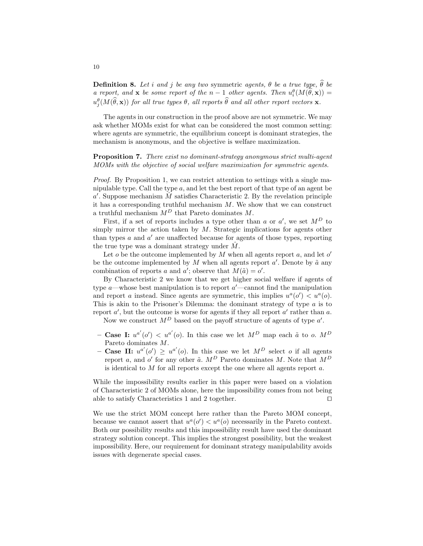**Definition 8.** Let i and j be any two symmetric agents,  $\theta$  be a true type,  $\widehat{\theta}$  be a report, and **x** be some report of the  $n-1$  other agents. Then  $u_i^{\theta}(M(\hat{\theta}, \mathbf{x})) =$  $u_j^{\theta}(M(\widehat{\theta}, \mathbf{x}))$  for all true types  $\theta$ , all reports  $\widehat{\theta}$  and all other report vectors  $\mathbf{x}$ .

The agents in our construction in the proof above are not symmetric. We may ask whether MOMs exist for what can be considered the most common setting: where agents are symmetric, the equilibrium concept is dominant strategies, the mechanism is anonymous, and the objective is welfare maximization.

Proposition 7. There exist no dominant-strategy anonymous strict multi-agent MOMs with the objective of social welfare maximization for symmetric agents.

Proof. By Proposition 1, we can restrict attention to settings with a single manipulable type. Call the type  $a$ , and let the best report of that type of an agent be  $a'$ . Suppose mechanism  $\hat{M}$  satisfies Characteristic 2. By the revelation principle it has a corresponding truthful mechanism  $M$ . We show that we can construct a truthful mechanism  $M^D$  that Pareto dominates M.

First, if a set of reports includes a type other than a or  $a'$ , we set  $M^D$  to simply mirror the action taken by  $M$ . Strategic implications for agents other than types  $a$  and  $a'$  are unaffected because for agents of those types, reporting the true type was a dominant strategy under  $\hat{M}$ .

Let  $o$  be the outcome implemented by  $M$  when all agents report  $a$ , and let  $o'$ be the outcome implemented by M when all agents report  $a'$ . Denote by  $\tilde{a}$  any combination of reports a and a'; observe that  $M(\tilde{a}) = o'$ .

By Characteristic 2 we know that we get higher social welfare if agents of type  $a$ —whose best manipulation is to report  $a'$ —cannot find the manipulation and report a instead. Since agents are symmetric, this implies  $u^a$  (o')  $\langle u^a$  (o). This is akin to the Prisoner's Dilemma: the dominant strategy of type  $a$  is to report  $a'$ , but the outcome is worse for agents if they all report  $a'$  rather than  $a$ .

Now we construct  $M^D$  based on the payoff structure of agents of type  $a'$ .

- **Case I:**  $u^{a'}(o') < u^{a'}(o)$ . In this case we let  $M^D$  map each  $\tilde{a}$  to o.  $M^D$ Pareto dominates M.
- **Case II:**  $u^{a'}(o') \geq u^{a'}(o)$ . In this case we let  $M^D$  select o if all agents report a, and o' for any other  $\tilde{a}$ .  $M^D$  Pareto dominates M. Note that  $M^D$ is identical to  $M$  for all reports except the one where all agents report  $a$ .

While the impossibility results earlier in this paper were based on a violation of Characteristic 2 of MOMs alone, here the impossibility comes from not being able to satisfy Characteristics 1 and 2 together.  $\Box$ 

We use the strict MOM concept here rather than the Pareto MOM concept, because we cannot assert that  $u^a$ ( $o'$ )  $\lt u^a$ ( $o$ ) necessarily in the Pareto context. Both our possibility results and this impossibility result have used the dominant strategy solution concept. This implies the strongest possibility, but the weakest impossibility. Here, our requirement for dominant strategy manipulability avoids issues with degenerate special cases.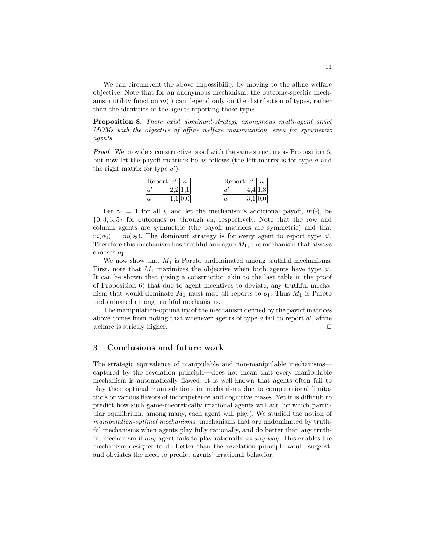We can circumvent the above impossibility by moving to the affine welfare objective. Note that for an anonymous mechanism, the outcome-specific mechanism utility function  $m(\cdot)$  can depend only on the distribution of types, rather than the identities of the agents reporting those types.

Proposition 8. There exist dominant-strategy anonymous multi-agent strict MOMs with the objective of affine welfare maximization, even for symmetric agents.

Proof. We provide a constructive proof with the same structure as Proposition 6, but now let the payoff matrices be as follows (the left matrix is for type a and the right matrix for type  $a'$ ).

| Report $a'$ |  | $ $ Report $ a' $ |  |
|-------------|--|-------------------|--|
|             |  |                   |  |
|             |  |                   |  |

Let  $\gamma_i = 1$  for all i, and let the mechanism's additional payoff,  $m(\cdot)$ , be  $\{0, 3, 3, 5\}$  for outcomes  $o_1$  through  $o_4$ , respectively. Note that the row and column agents are symmetric (the payoff matrices are symmetric) and that  $m(o_2) = m(o_3)$ . The dominant strategy is for every agent to report type a'. Therefore this mechanism has truthful analogue  $M_1$ , the mechanism that always chooses  $o_1$ .

We now show that  $M_1$  is Pareto undominated among truthful mechanisms. First, note that  $M_1$  maximizes the objective when both agents have type  $a'$ . It can be shown that (using a construction akin to the last table in the proof of Proposition 6) that due to agent incentives to deviate, any truthful mechanism that would dominate  $M_1$  must map all reports to  $o_1$ . Thus  $M_1$  is Pareto undominated among truthful mechanisms.

The manipulation-optimality of the mechanism defined by the payoff matrices above comes from noting that whenever agents of type  $a$  fail to report  $a'$ , affine welfare is strictly higher.  $\Box$ 

## 3 Conclusions and future work

The strategic equivalence of manipulable and non-manipulable mechanisms captured by the revelation principle—does not mean that every manipulable mechanism is automatically flawed. It is well-known that agents often fail to play their optimal manipulations in mechanisms due to computational limitations or various flavors of incompetence and cognitive biases. Yet it is difficult to predict how such game-theoretically irrational agents will act (or which particular equilibrium, among many, each agent will play). We studied the notion of manipulation-optimal mechanisms: mechanisms that are undominated by truthful mechanisms when agents play fully rationally, and do better than any truthful mechanism if any agent fails to play rationally in any way. This enables the mechanism designer to do better than the revelation principle would suggest, and obviates the need to predict agents' irrational behavior.